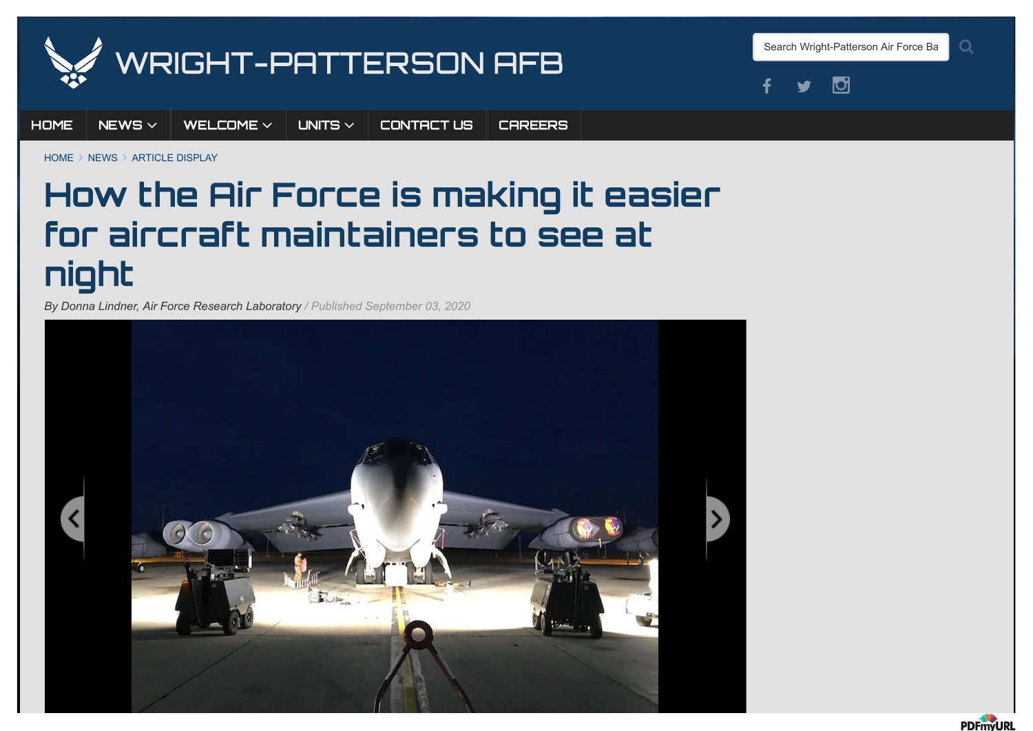

Search Wright-Patterson Air Force Ba

 $\Omega$ 



[HOME](http://www.wpafb.af.mil/) [NEWS](http://www.wpafb.af.mil/News/)  $\times$  [WELCOME](javascript:void(0))  $\times$  [UNITS](http://www.wpafb.af.mil/Units/index1/)  $\times$  [CONTACT](http://www.wpafb.af.mil/Contact-Us/) US [CAREERS](https://www.af.mil/Careers/)

 $HOMF \geq NFWS \geq ARTICF$  DISPLAY

## How the Air Force is making it easier for aircraft maintainers to see at night

*By Donna Lindner, Air Force Research Laboratory / Published September 03, 2020*



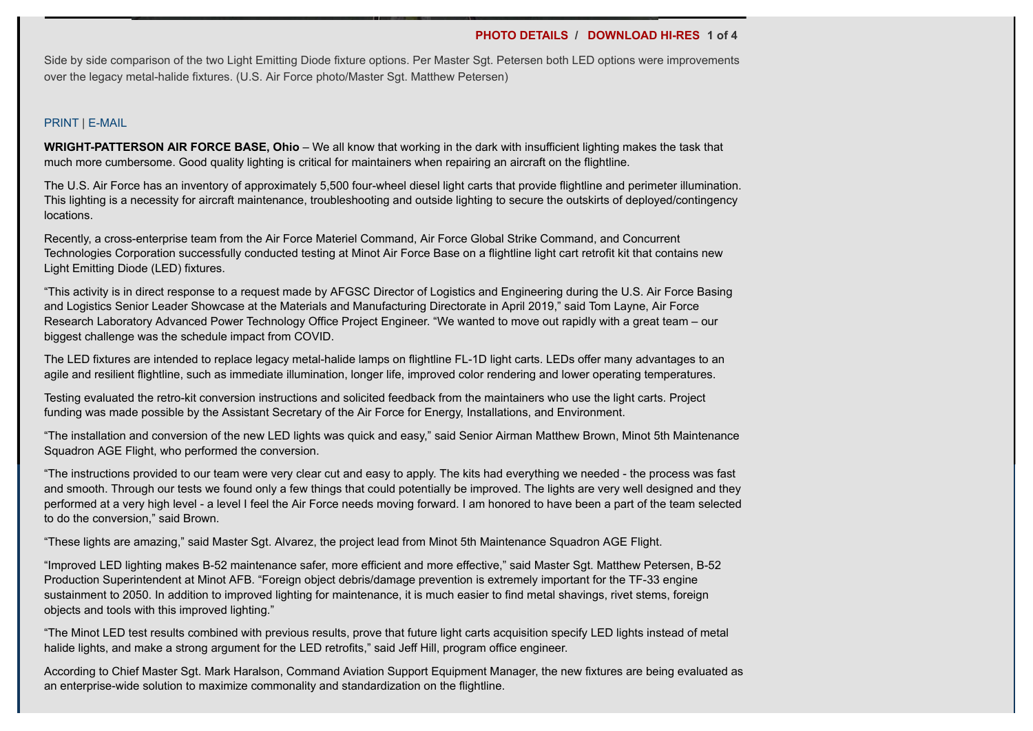## **[PHOTO DETAILS](http://www.wpafb.af.mil/News/Photos/igphoto/2002490597/) / [DOWNLOAD HI-RES](https://media.defense.gov/2020/Sep/03/2002490597/-1/-1/0/200810-F-EK602-001.JPG) 1 of 4**

Side by side comparison of the two Light Emitting Diode fixture options. Per Master Sgt. Petersen both LED options were improvements over the legacy metal-halide fixtures. (U.S. Air Force photo/Master Sgt. Matthew Petersen)

## [PRINT](https://www.wpafb.af.mil/DesktopModules/ArticleCS/Print.aspx?PortalId=60&ModuleId=8664&Article=2335626) | [E-MAIL](mailto:?Subject=How%20the%20Air%20Force%20is%20making%20it%20easier%20for%20aircraft%20maintainers%20to%20see%20at%20night%20-%20Wright-Patterson%20AFB&body=Here%20is%20an%20article%20I%20think%20you%20will%20find%20interesting:%20http://www.wpafb.af.mil/News/Article-Display/Article/2335626/how-the-air-force-is-making-it-easier-for-aircraft-maintainers-to-see-at-night)

**WRIGHT-PATTERSON AIR FORCE BASE, Ohio** – We all know that working in the dark with insufficient lighting makes the task that much more cumbersome. Good quality lighting is critical for maintainers when repairing an aircraft on the flightline.

The U.S. Air Force has an inventory of approximately 5,500 four-wheel diesel light carts that provide flightline and perimeter illumination. This lighting is a necessity for aircraft maintenance, troubleshooting and outside lighting to secure the outskirts of deployed/contingency locations.

Recently, a cross-enterprise team from the Air Force Materiel Command, Air Force Global Strike Command, and Concurrent Technologies Corporation successfully conducted testing at Minot Air Force Base on a flightline light cart retrofit kit that contains new Light Emitting Diode (LED) fixtures.

"This activity is in direct response to a request made by AFGSC Director of Logistics and Engineering during the U.S. Air Force Basing and Logistics Senior Leader Showcase at the Materials and Manufacturing Directorate in April 2019," said Tom Layne, Air Force Research Laboratory Advanced Power Technology Office Project Engineer. "We wanted to move out rapidly with a great team – our biggest challenge was the schedule impact from COVID.

The LED fixtures are intended to replace legacy metal-halide lamps on flightline FL-1D light carts. LEDs offer many advantages to an agile and resilient flightline, such as immediate illumination, longer life, improved color rendering and lower operating temperatures.

Testing evaluated the retro-kit conversion instructions and solicited feedback from the maintainers who use the light carts. Project funding was made possible by the Assistant Secretary of the Air Force for Energy, Installations, and Environment.

"The installation and conversion of the new LED lights was quick and easy," said Senior Airman Matthew Brown, Minot 5th Maintenance Squadron AGE Flight, who performed the conversion.

"The instructions provided to our team were very clear cut and easy to apply. The kits had everything we needed - the process was fast and smooth. Through our tests we found only a few things that could potentially be improved. The lights are very well designed and they performed at a very high level - a level I feel the Air Force needs moving forward. I am honored to have been a part of the team selected to do the conversion," said Brown.

"These lights are amazing," said Master Sgt. Alvarez, the project lead from Minot 5th Maintenance Squadron AGE Flight.

"Improved LED lighting makes B-52 maintenance safer, more efficient and more effective," said Master Sgt. Matthew Petersen, B-52 Production Superintendent at Minot AFB. "Foreign object debris/damage prevention is extremely important for the TF-33 engine sustainment to 2050. In addition to improved lighting for maintenance, it is much easier to find metal shavings, rivet stems, foreign objects and tools with this improved lighting."

"The Minot LED test results combined with previous results, prove that future light carts acquisition specify LED lights instead of metal halide lights, and make a strong argument for the LED retrofits," said Jeff Hill, program office engineer.

According to Chief Master Sgt. Mark Haralson, Command Aviation Support Equipment Manager, the new fixtures are being evaluated as an enterprise-wide solution to maximize commonality and standardization on the flightline.